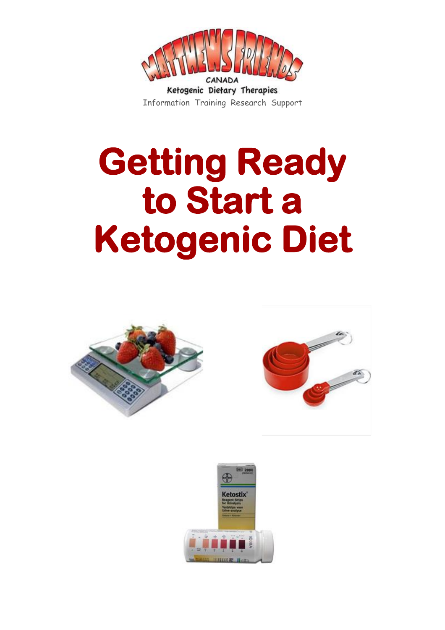

## **Getting Ready to Start a Ketogenic Diet**





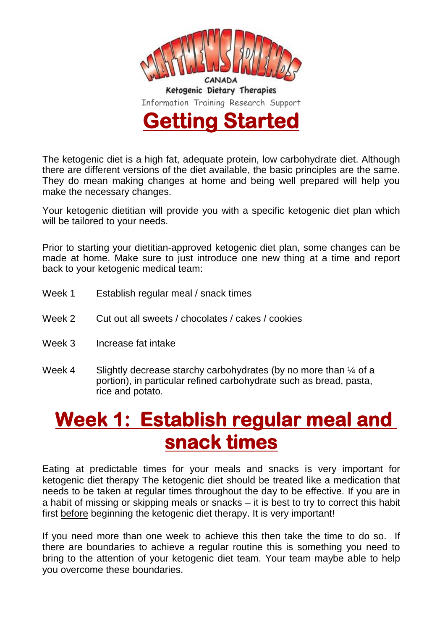

The ketogenic diet is a high fat, adequate protein, low carbohydrate diet. Although there are different versions of the diet available, the basic principles are the same. They do mean making changes at home and being well prepared will help you make the necessary changes.

Your ketogenic dietitian will provide you with a specific ketogenic diet plan which will be tailored to your needs.

Prior to starting your dietitian-approved ketogenic diet plan, some changes can be made at home. Make sure to just introduce one new thing at a time and report back to your ketogenic medical team:

- Week 1 Establish regular meal / snack times
- Week 2 Cut out all sweets / chocolates / cakes / cookies
- Week 3 Increase fat intake
- Week 4 Slightly decrease starchy carbohydrates (by no more than  $\frac{1}{4}$  of a portion), in particular refined carbohydrate such as bread, pasta, rice and potato.

## **Week 1: Establish regular meal and snack times**

Eating at predictable times for your meals and snacks is very important for ketogenic diet therapy The ketogenic diet should be treated like a medication that needs to be taken at regular times throughout the day to be effective. If you are in a habit of missing or skipping meals or snacks – it is best to try to correct this habit first before beginning the ketogenic diet therapy. It is very important!

If you need more than one week to achieve this then take the time to do so. If there are boundaries to achieve a regular routine this is something you need to bring to the attention of your ketogenic diet team. Your team maybe able to help you overcome these boundaries.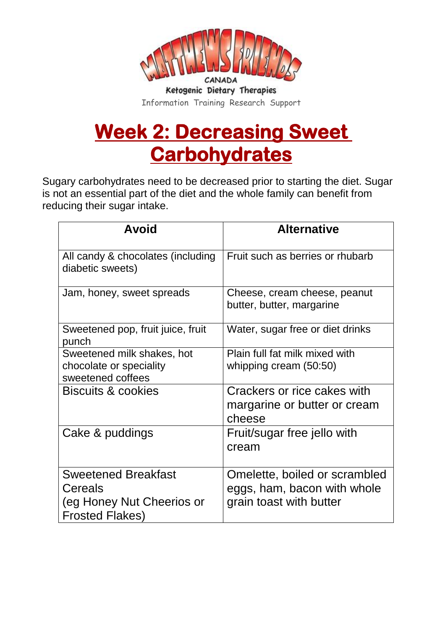

## **Week 2: Decreasing Sweet Carbohydrates**

Sugary carbohydrates need to be decreased prior to starting the diet. Sugar is not an essential part of the diet and the whole family can benefit from reducing their sugar intake.

| <b>Avoid</b>                                                                                 | <b>Alternative</b>                                                                      |
|----------------------------------------------------------------------------------------------|-----------------------------------------------------------------------------------------|
| All candy & chocolates (including<br>diabetic sweets)                                        | Fruit such as berries or rhubarb                                                        |
| Jam, honey, sweet spreads                                                                    | Cheese, cream cheese, peanut<br>butter, butter, margarine                               |
| Sweetened pop, fruit juice, fruit<br>punch                                                   | Water, sugar free or diet drinks                                                        |
| Sweetened milk shakes, hot<br>chocolate or speciality<br>sweetened coffees                   | Plain full fat milk mixed with<br>whipping cream (50:50)                                |
| <b>Biscuits &amp; cookies</b>                                                                | Crackers or rice cakes with<br>margarine or butter or cream<br>cheese                   |
| Cake & puddings                                                                              | Fruit/sugar free jello with<br>cream                                                    |
| <b>Sweetened Breakfast</b><br>Cereals<br>(eg Honey Nut Cheerios or<br><b>Frosted Flakes)</b> | Omelette, boiled or scrambled<br>eggs, ham, bacon with whole<br>grain toast with butter |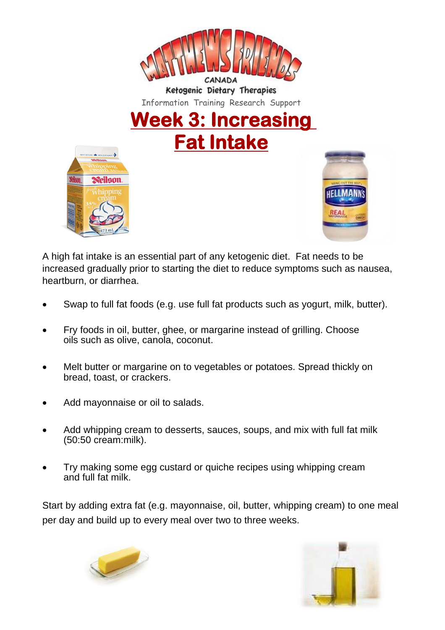

Information Training Research Support

**Week 3: Increasing Fat Intake**





A high fat intake is an essential part of any ketogenic diet. Fat needs to be increased gradually prior to starting the diet to reduce symptoms such as nausea, heartburn, or diarrhea.

- Swap to full fat foods (e.g. use full fat products such as yogurt, milk, butter).
- Fry foods in oil, butter, ghee, or margarine instead of grilling. Choose oils such as olive, canola, coconut.
- Melt butter or margarine on to vegetables or potatoes. Spread thickly on bread, toast, or crackers.
- Add mayonnaise or oil to salads.
- Add whipping cream to desserts, sauces, soups, and mix with full fat milk (50:50 cream:milk).
- Try making some egg custard or quiche recipes using whipping cream and full fat milk.

Start by adding extra fat (e.g. mayonnaise, oil, butter, whipping cream) to one meal per day and build up to every meal over two to three weeks.



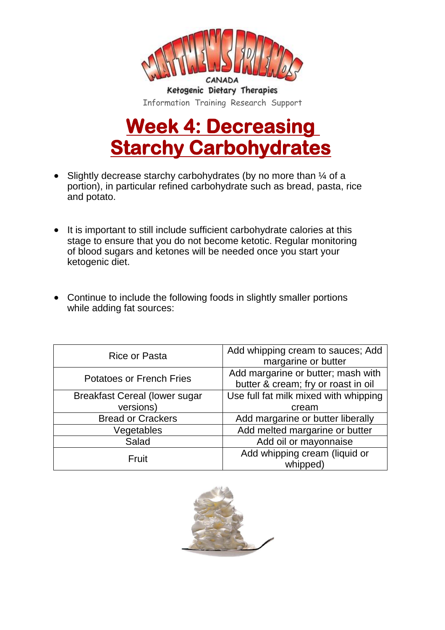

## **Week 4: Decreasing Starchy Carbohydrates**

- Slightly decrease starchy carbohydrates (by no more than  $\frac{1}{4}$  of a portion), in particular refined carbohydrate such as bread, pasta, rice and potato.
- It is important to still include sufficient carbohydrate calories at this stage to ensure that you do not become ketotic. Regular monitoring of blood sugars and ketones will be needed once you start your ketogenic diet.
- Continue to include the following foods in slightly smaller portions while adding fat sources:

| Rice or Pasta                        | Add whipping cream to sauces; Add<br>margarine or butter                  |
|--------------------------------------|---------------------------------------------------------------------------|
| <b>Potatoes or French Fries</b>      | Add margarine or butter; mash with<br>butter & cream; fry or roast in oil |
| <b>Breakfast Cereal (lower sugar</b> | Use full fat milk mixed with whipping                                     |
| versions)                            | cream                                                                     |
| <b>Bread or Crackers</b>             | Add margarine or butter liberally                                         |
| Vegetables                           | Add melted margarine or butter                                            |
| Salad                                | Add oil or mayonnaise                                                     |
| Fruit                                | Add whipping cream (liquid or<br>whipped)                                 |

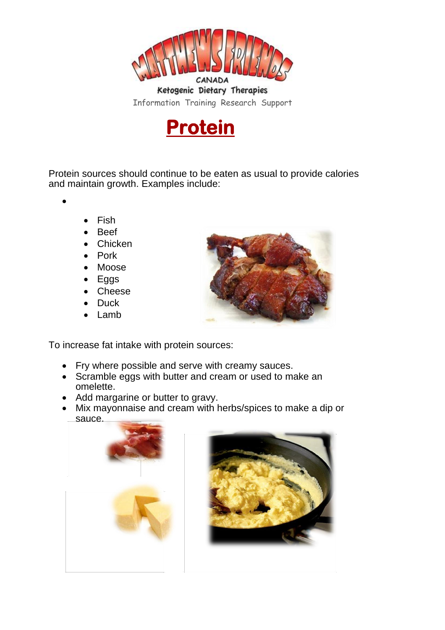



Protein sources should continue to be eaten as usual to provide calories and maintain growth. Examples include:

 $\bullet$ 

- Fish
- Beef
- **Chicken**
- Pork
- Moose
- Eggs
- Cheese
- **Duck**
- Lamb



To increase fat intake with protein sources:

- Fry where possible and serve with creamy sauces.
- Scramble eggs with butter and cream or used to make an omelette.
- Add margarine or butter to gravy.
- Mix mayonnaise and cream with herbs/spices to make a dip or sauce.